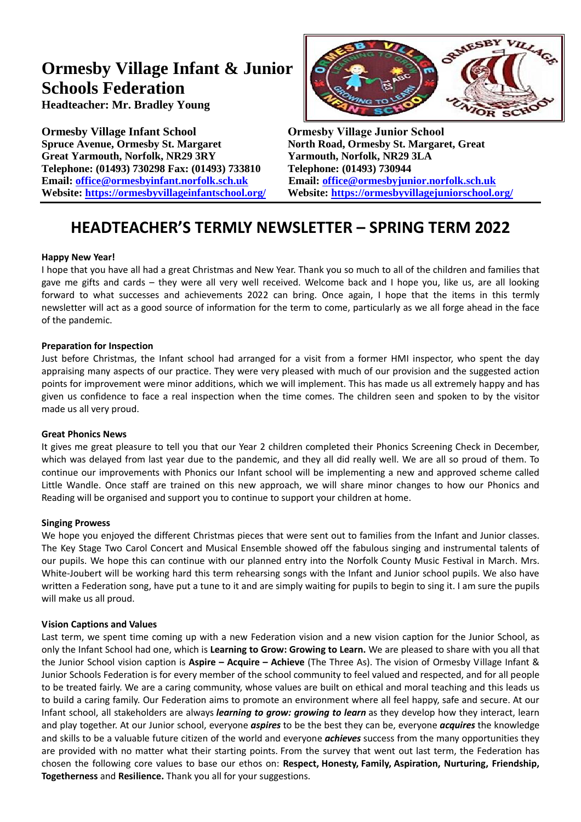# **Ormesby Village Infant & Junior Schools Federation**

**Headteacher: Mr. Bradley Young**

**Ormesby Village Infant School Ormesby Village Junior School Spruce Avenue, Ormesby St. Margaret North Road, Ormesby St. Margaret, Great Great Yarmouth, Norfolk, NR29 3RY Yarmouth, Norfolk, NR29 3LA Telephone: (01493) 730298 Fax: (01493) 733810 Telephone: (01493) 730944 Email: [office@ormesbyinfant.norfolk.sch.uk](mailto:office@ormesbyinfant.norfolk.sch.uk) Email: [office@ormesbyjunior.norfolk.sch.uk](mailto:office@ormesbyjunior.norfolk.sch.uk)**



**Website: <https://ormesbyvillageinfantschool.org/>Website: <https://ormesbyvillagejuniorschool.org/>**

## **HEADTEACHER'S TERMLY NEWSLETTER – SPRING TERM 2022**

## **Happy New Year!**

I hope that you have all had a great Christmas and New Year. Thank you so much to all of the children and families that gave me gifts and cards – they were all very well received. Welcome back and I hope you, like us, are all looking forward to what successes and achievements 2022 can bring. Once again, I hope that the items in this termly newsletter will act as a good source of information for the term to come, particularly as we all forge ahead in the face of the pandemic.

## **Preparation for Inspection**

Just before Christmas, the Infant school had arranged for a visit from a former HMI inspector, who spent the day appraising many aspects of our practice. They were very pleased with much of our provision and the suggested action points for improvement were minor additions, which we will implement. This has made us all extremely happy and has given us confidence to face a real inspection when the time comes. The children seen and spoken to by the visitor made us all very proud.

## **Great Phonics News**

It gives me great pleasure to tell you that our Year 2 children completed their Phonics Screening Check in December, which was delayed from last year due to the pandemic, and they all did really well. We are all so proud of them. To continue our improvements with Phonics our Infant school will be implementing a new and approved scheme called Little Wandle. Once staff are trained on this new approach, we will share minor changes to how our Phonics and Reading will be organised and support you to continue to support your children at home.

## **Singing Prowess**

We hope you enjoyed the different Christmas pieces that were sent out to families from the Infant and Junior classes. The Key Stage Two Carol Concert and Musical Ensemble showed off the fabulous singing and instrumental talents of our pupils. We hope this can continue with our planned entry into the Norfolk County Music Festival in March. Mrs. White-Joubert will be working hard this term rehearsing songs with the Infant and Junior school pupils. We also have written a Federation song, have put a tune to it and are simply waiting for pupils to begin to sing it. I am sure the pupils will make us all proud.

## **Vision Captions and Values**

Last term, we spent time coming up with a new Federation vision and a new vision caption for the Junior School, as only the Infant School had one, which is **Learning to Grow: Growing to Learn.** We are pleased to share with you all that the Junior School vision caption is **Aspire – Acquire – Achieve** (The Three As). The vision of Ormesby Village Infant & Junior Schools Federation is for every member of the school community to feel valued and respected, and for all people to be treated fairly. We are a caring community, whose values are built on ethical and moral teaching and this leads us to build a caring family. Our Federation aims to promote an environment where all feel happy, safe and secure. At our Infant school, all stakeholders are always *learning to grow: growing to learn* as they develop how they interact, learn and play together. At our Junior school, everyone *aspires* to be the best they can be, everyone *acquires* the knowledge and skills to be a valuable future citizen of the world and everyone *achieves* success from the many opportunities they are provided with no matter what their starting points. From the survey that went out last term, the Federation has chosen the following core values to base our ethos on: **Respect, Honesty, Family, Aspiration, Nurturing, Friendship, Togetherness** and **Resilience.** Thank you all for your suggestions.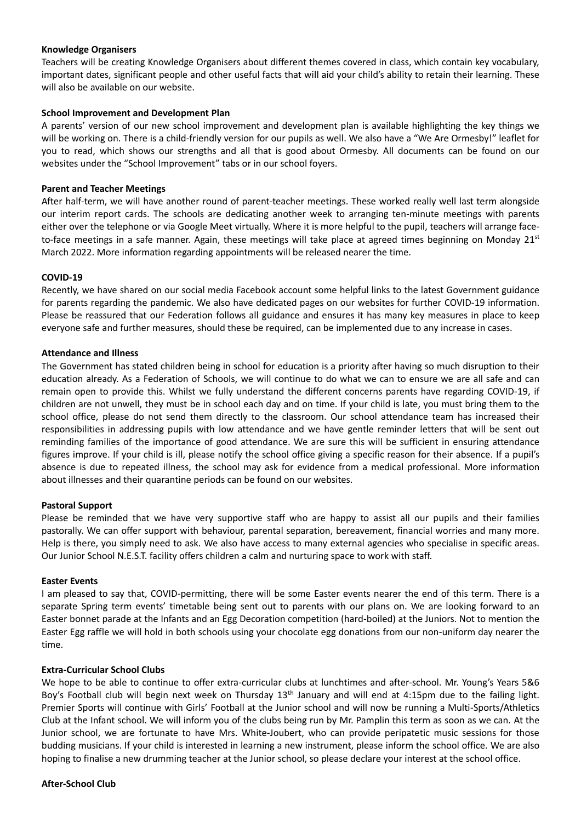#### **Knowledge Organisers**

Teachers will be creating Knowledge Organisers about different themes covered in class, which contain key vocabulary, important dates, significant people and other useful facts that will aid your child's ability to retain their learning. These will also be available on our website.

#### **School Improvement and Development Plan**

A parents' version of our new school improvement and development plan is available highlighting the key things we will be working on. There is a child-friendly version for our pupils as well. We also have a "We Are Ormesby!" leaflet for you to read, which shows our strengths and all that is good about Ormesby. All documents can be found on our websites under the "School Improvement" tabs or in our school foyers.

#### **Parent and Teacher Meetings**

After half-term, we will have another round of parent-teacher meetings. These worked really well last term alongside our interim report cards. The schools are dedicating another week to arranging ten-minute meetings with parents either over the telephone or via Google Meet virtually. Where it is more helpful to the pupil, teachers will arrange faceto-face meetings in a safe manner. Again, these meetings will take place at agreed times beginning on Monday  $21^{st}$ March 2022. More information regarding appointments will be released nearer the time.

#### **COVID-19**

Recently, we have shared on our social media Facebook account some helpful links to the latest Government guidance for parents regarding the pandemic. We also have dedicated pages on our websites for further COVID-19 information. Please be reassured that our Federation follows all guidance and ensures it has many key measures in place to keep everyone safe and further measures, should these be required, can be implemented due to any increase in cases.

#### **Attendance and Illness**

The Government has stated children being in school for education is a priority after having so much disruption to their education already. As a Federation of Schools, we will continue to do what we can to ensure we are all safe and can remain open to provide this. Whilst we fully understand the different concerns parents have regarding COVID-19, if children are not unwell, they must be in school each day and on time. If your child is late, you must bring them to the school office, please do not send them directly to the classroom. Our school attendance team has increased their responsibilities in addressing pupils with low attendance and we have gentle reminder letters that will be sent out reminding families of the importance of good attendance. We are sure this will be sufficient in ensuring attendance figures improve. If your child is ill, please notify the school office giving a specific reason for their absence. If a pupil's absence is due to repeated illness, the school may ask for evidence from a medical professional. More information about illnesses and their quarantine periods can be found on our websites.

#### **Pastoral Support**

Please be reminded that we have very supportive staff who are happy to assist all our pupils and their families pastorally. We can offer support with behaviour, parental separation, bereavement, financial worries and many more. Help is there, you simply need to ask. We also have access to many external agencies who specialise in specific areas. Our Junior School N.E.S.T. facility offers children a calm and nurturing space to work with staff.

#### **Easter Events**

I am pleased to say that, COVID-permitting, there will be some Easter events nearer the end of this term. There is a separate Spring term events' timetable being sent out to parents with our plans on. We are looking forward to an Easter bonnet parade at the Infants and an Egg Decoration competition (hard-boiled) at the Juniors. Not to mention the Easter Egg raffle we will hold in both schools using your chocolate egg donations from our non-uniform day nearer the time.

#### **Extra-Curricular School Clubs**

We hope to be able to continue to offer extra-curricular clubs at lunchtimes and after-school. Mr. Young's Years 5&6 Boy's Football club will begin next week on Thursday  $13<sup>th</sup>$  January and will end at 4:15pm due to the failing light. Premier Sports will continue with Girls' Football at the Junior school and will now be running a Multi-Sports/Athletics Club at the Infant school. We will inform you of the clubs being run by Mr. Pamplin this term as soon as we can. At the Junior school, we are fortunate to have Mrs. White-Joubert, who can provide peripatetic music sessions for those budding musicians. If your child is interested in learning a new instrument, please inform the school office. We are also hoping to finalise a new drumming teacher at the Junior school, so please declare your interest at the school office.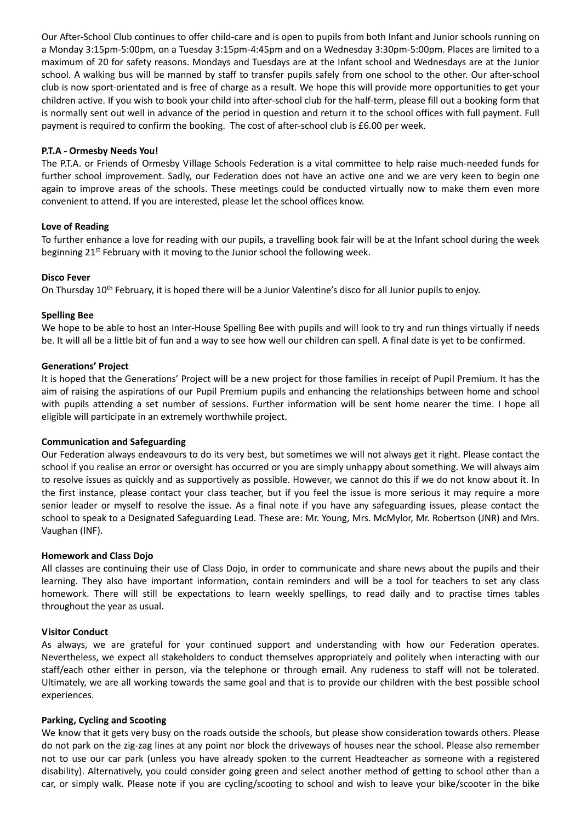Our After-School Club continues to offer child-care and is open to pupils from both Infant and Junior schools running on a Monday 3:15pm-5:00pm, on a Tuesday 3:15pm-4:45pm and on a Wednesday 3:30pm-5:00pm. Places are limited to a maximum of 20 for safety reasons. Mondays and Tuesdays are at the Infant school and Wednesdays are at the Junior school. A walking bus will be manned by staff to transfer pupils safely from one school to the other. Our after-school club is now sport-orientated and is free of charge as a result. We hope this will provide more opportunities to get your children active. If you wish to book your child into after-school club for the half-term, please fill out a booking form that is normally sent out well in advance of the period in question and return it to the school offices with full payment. Full payment is required to confirm the booking. The cost of after-school club is £6.00 per week.

### **P.T.A - Ormesby Needs You!**

The P.T.A. or Friends of Ormesby Village Schools Federation is a vital committee to help raise much-needed funds for further school improvement. Sadly, our Federation does not have an active one and we are very keen to begin one again to improve areas of the schools. These meetings could be conducted virtually now to make them even more convenient to attend. If you are interested, please let the school offices know.

#### **Love of Reading**

To further enhance a love for reading with our pupils, a travelling book fair will be at the Infant school during the week beginning 21<sup>st</sup> February with it moving to the Junior school the following week.

#### **Disco Fever**

On Thursday 10<sup>th</sup> February, it is hoped there will be a Junior Valentine's disco for all Junior pupils to enjoy.

#### **Spelling Bee**

We hope to be able to host an Inter-House Spelling Bee with pupils and will look to try and run things virtually if needs be. It will all be a little bit of fun and a way to see how well our children can spell. A final date is yet to be confirmed.

#### **Generations' Project**

It is hoped that the Generations' Project will be a new project for those families in receipt of Pupil Premium. It has the aim of raising the aspirations of our Pupil Premium pupils and enhancing the relationships between home and school with pupils attending a set number of sessions. Further information will be sent home nearer the time. I hope all eligible will participate in an extremely worthwhile project.

#### **Communication and Safeguarding**

Our Federation always endeavours to do its very best, but sometimes we will not always get it right. Please contact the school if you realise an error or oversight has occurred or you are simply unhappy about something. We will always aim to resolve issues as quickly and as supportively as possible. However, we cannot do this if we do not know about it. In the first instance, please contact your class teacher, but if you feel the issue is more serious it may require a more senior leader or myself to resolve the issue. As a final note if you have any safeguarding issues, please contact the school to speak to a Designated Safeguarding Lead. These are: Mr. Young, Mrs. McMylor, Mr. Robertson (JNR) and Mrs. Vaughan (INF).

#### **Homework and Class Dojo**

All classes are continuing their use of Class Dojo, in order to communicate and share news about the pupils and their learning. They also have important information, contain reminders and will be a tool for teachers to set any class homework. There will still be expectations to learn weekly spellings, to read daily and to practise times tables throughout the year as usual.

## **Visitor Conduct**

As always, we are grateful for your continued support and understanding with how our Federation operates. Nevertheless, we expect all stakeholders to conduct themselves appropriately and politely when interacting with our staff/each other either in person, via the telephone or through email. Any rudeness to staff will not be tolerated. Ultimately, we are all working towards the same goal and that is to provide our children with the best possible school experiences.

#### **Parking, Cycling and Scooting**

We know that it gets very busy on the roads outside the schools, but please show consideration towards others. Please do not park on the zig-zag lines at any point nor block the driveways of houses near the school. Please also remember not to use our car park (unless you have already spoken to the current Headteacher as someone with a registered disability). Alternatively, you could consider going green and select another method of getting to school other than a car, or simply walk. Please note if you are cycling/scooting to school and wish to leave your bike/scooter in the bike